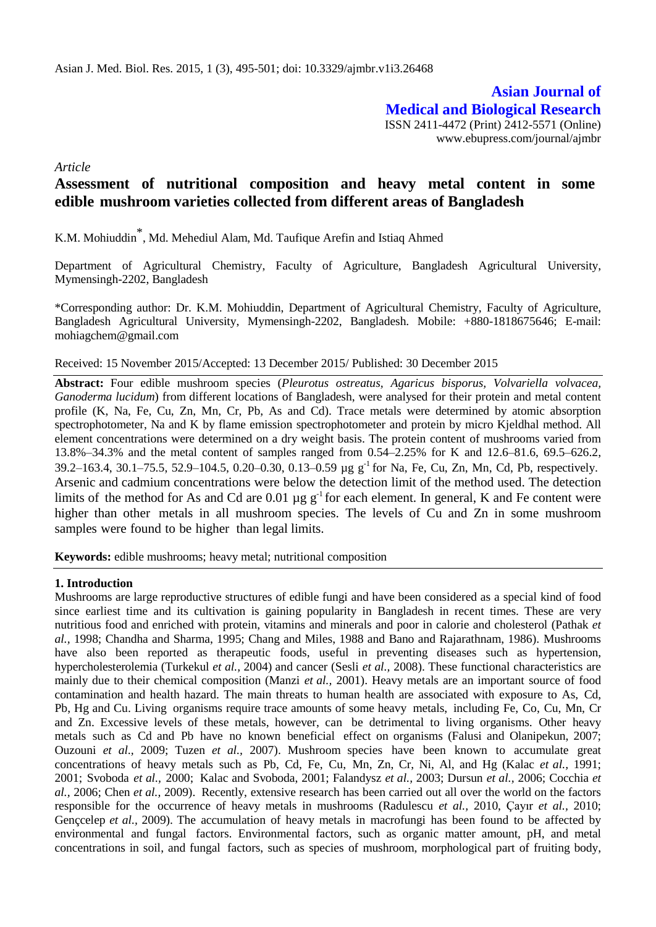# **Asian Journal of Medical and Biological Research** ISSN 2411-4472 (Print) 2412-5571 (Online)

www.ebupress.com/journal/ajmbr

*Article*

## **Assessment of nutritional composition and heavy metal content in some edible mushroom varieties collected from different areas of Bangladesh**

K.M. Mohiuddin \* , Md. Mehediul Alam, Md. Taufique Arefin and Istiaq Ahmed

Department of Agricultural Chemistry, Faculty of Agriculture, Bangladesh Agricultural University, Mymensingh-2202, Bangladesh

\*Corresponding author: Dr. K.M. Mohiuddin, Department of Agricultural Chemistry, Faculty of Agriculture, Bangladesh Agricultural University, Mymensingh-2202, Bangladesh. Mobile: +880-1818675646; E-mail[:](mailto:mohiagchem@gmail.com) [mohiagchem@gmail.com](mailto:mohiagchem@gmail.com)

Received: 15 November 2015/Accepted: 13 December 2015/ Published: 30 December 2015

**Abstract:** Four edible mushroom species (*Pleurotus ostreatus, Agaricus bisporus, Volvariella volvacea, Ganoderma lucidum*) from different locations of Bangladesh, were analysed for their protein and metal content profile (K, Na, Fe, Cu, Zn, Mn, Cr, Pb, As and Cd). Trace metals were determined by atomic absorption spectrophotometer, Na and K by flame emission spectrophotometer and protein by micro Kjeldhal method. All element concentrations were determined on a dry weight basis. The protein content of mushrooms varied from 13.8%–34.3% and the metal content of samples ranged from 0.54–2.25% for K and 12.6–81.6, 69.5–626.2, 39.2–163.4, 30.1–75.5, 52.9–104.5, 0.20–0.30, 0.13–0.59 µg g<sup>-1</sup> for Na, Fe, Cu, Zn, Mn, Cd, Pb, respectively. Arsenic and cadmium concentrations were below the detection limit of the method used. The detection limits of the method for As and Cd are 0.01  $\mu$ g g<sup>-1</sup> for each element. In general, K and Fe content were higher than other metals in all mushroom species. The levels of Cu and Zn in some mushroom samples were found to be higher than legal limits.

**Keywords:** edible mushrooms; heavy metal; nutritional composition

## **1. Introduction**

Mushrooms are large reproductive structures of edible fungi and have been considered as a special kind of food since earliest time and its cultivation is gaining popularity in Bangladesh in recent times. These are very nutritious food and enriched with protein, vitamins and minerals and poor in calorie and cholesterol (Pathak *et al.,* 1998; Chandha and Sharma, 1995; Chang and Miles, 1988 and Bano and Rajarathnam, 1986). Mushrooms have also been reported as therapeutic foods, useful in preventing diseases such as hypertension, hypercholesterolemia (Turkekul *et al.,* 2004) and cancer (Sesli *et al.,* 2008). These functional characteristics are mainly due to their chemical composition (Manzi *et al.,* 2001). Heavy metals are an important source of food contamination and health hazard. The main threats to human health are associated with exposure to As, Cd, Pb, Hg and Cu. Living organisms require trace amounts of some heavy metals, including Fe, Co, Cu, Mn, Cr and Zn. Excessive levels of these metals, however, can be detrimental to living organisms. Other heavy metals such as Cd and Pb have no known beneficial effect on organisms (Falusi and Olanipekun, 2007; Ouzouni *et al.,* 2009; Tuzen *et al.,* 2007). Mushroom species have been known to accumulate great concentrations of heavy metals such as Pb, Cd, Fe, Cu, Mn, Zn, Cr, Ni, Al, and Hg (Kalac *et al.,* 1991; 2001; Svoboda *et al.,* 2000; Kalac and Svoboda, 2001; Falandysz *et al.,* 2003; Dursun *et al.,* 2006; Cocchia *et al.,* 2006; Chen *et al.,* 2009). Recently, extensive research has been carried out all over the world on the factors responsible for the occurrence of heavy metals in mushrooms (Radulescu *et al.,* 2010, Çayır *et al.,* 2010; Gençcelep *et al.,* 2009). The accumulation of heavy metals in macrofungi has been found to be affected by environmental and fungal factors. Environmental factors, such as organic matter amount, pH, and metal concentrations in soil, and fungal factors, such as species of mushroom, morphological part of fruiting body,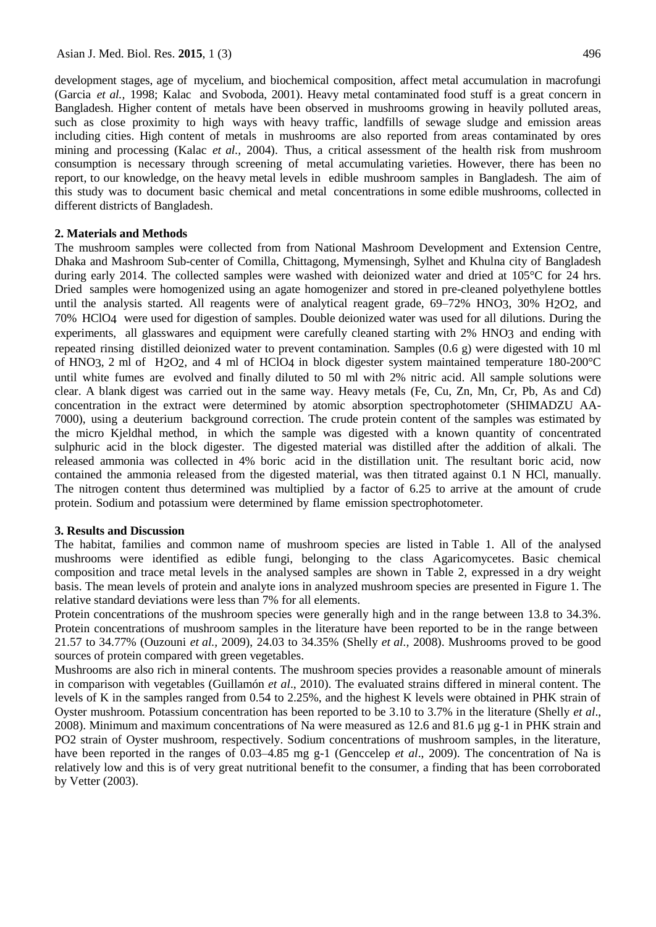development stages, age of mycelium, and biochemical composition, affect metal accumulation in macrofungi (Garcia *et al.,* 1998; Kalac and Svoboda, 2001). Heavy metal contaminated food stuff is a great concern in Bangladesh. Higher content of metals have been observed in mushrooms growing in heavily polluted areas, such as close proximity to high ways with heavy traffic, landfills of sewage sludge and emission areas including cities. High content of metals in mushrooms are also reported from areas contaminated by ores mining and processing (Kalac *et al.,* 2004). Thus, a critical assessment of the health risk from mushroom consumption is necessary through screening of metal accumulating varieties. However, there has been no report, to our knowledge, on the heavy metal levels in edible mushroom samples in Bangladesh. The aim of this study was to document basic chemical and metal concentrations in some edible mushrooms, collected in different districts of Bangladesh.

#### **2. Materials and Methods**

The mushroom samples were collected from from National Mashroom Development and Extension Centre, Dhaka and Mashroom Sub-center of Comilla, Chittagong, Mymensingh, Sylhet and Khulna city of Bangladesh during early 2014. The collected samples were washed with deionized water and dried at 105°C for 24 hrs. Dried samples were homogenized using an agate homogenizer and stored in pre-cleaned polyethylene bottles until the analysis started. All reagents were of analytical reagent grade,  $69-72\%$  HNO3,  $30\%$  H<sub>2</sub>O<sub>2</sub>, and 70% HClO4 were used for digestion of samples. Double deionized water was used for all dilutions. During the experiments, all glasswares and equipment were carefully cleaned starting with 2% HNO3 and ending with repeated rinsing distilled deionized water to prevent contamination. Samples (0.6 g) were digested with 10 ml of HNO3, 2 ml of H2O2, and 4 ml of HClO4 in block digester system maintained temperature 180-200°C until white fumes are evolved and finally diluted to 50 ml with 2% nitric acid. All sample solutions were clear. A blank digest was carried out in the same way. Heavy metals (Fe, Cu, Zn, Mn, Cr, Pb, As and Cd) concentration in the extract were determined by atomic absorption spectrophotometer (SHIMADZU AA-7000), using a deuterium background correction. The crude protein content of the samples was estimated by the micro Kjeldhal method, in which the sample was digested with a known quantity of concentrated sulphuric acid in the block digester. The digested material was distilled after the addition of alkali. The released ammonia was collected in 4% boric acid in the distillation unit. The resultant boric acid, now contained the ammonia released from the digested material, was then titrated against 0.1 N HCl, manually. The nitrogen content thus determined was multiplied by a factor of 6.25 to arrive at the amount of crude protein. Sodium and potassium were determined by flame emission spectrophotometer.

#### **3. Results and Discussion**

The habitat, families and common name of mushroom species are listed in Table 1. All of the analysed mushrooms were identified as edible fungi, belonging to the class Agaricomycetes. Basic chemical composition and trace metal levels in the analysed samples are shown in Table 2, expressed in a dry weight basis. The mean levels of protein and analyte ions in analyzed mushroom species are presented in Figure 1. The relative standard deviations were less than 7% for all elements.

Protein concentrations of the mushroom species were generally high and in the range between 13.8 to 34.3%. Protein concentrations of mushroom samples in the literature have been reported to be in the range between 21.57 to 34.77% (Ouzouni *et al.,* 2009), 24.03 to 34.35% (Shelly *et al.,* 2008). Mushrooms proved to be good sources of protein compared with green vegetables.

Mushrooms are also rich in mineral contents. The mushroom species provides a reasonable amount of minerals in comparison with vegetables (Guillamón *et al*., 2010). The evaluated strains differed in mineral content. The levels of K in the samples ranged from 0.54 to 2.25%, and the highest K levels were obtained in PHK strain of Oyster mushroom. Potassium concentration has been reported to be 3.10 to 3.7% in the literature (Shelly *et al*., 2008). Minimum and maximum concentrations of Na were measured as 12.6 and 81.6 µg g-1 in PHK strain and PO2 strain of Oyster mushroom, respectively. Sodium concentrations of mushroom samples, in the literature, have been reported in the ranges of 0.03–4.85 mg g-1 (Genccelep *et al.*, 2009). The concentration of Na is relatively low and this is of very great nutritional benefit to the consumer, a finding that has been corroborated by Vetter (2003).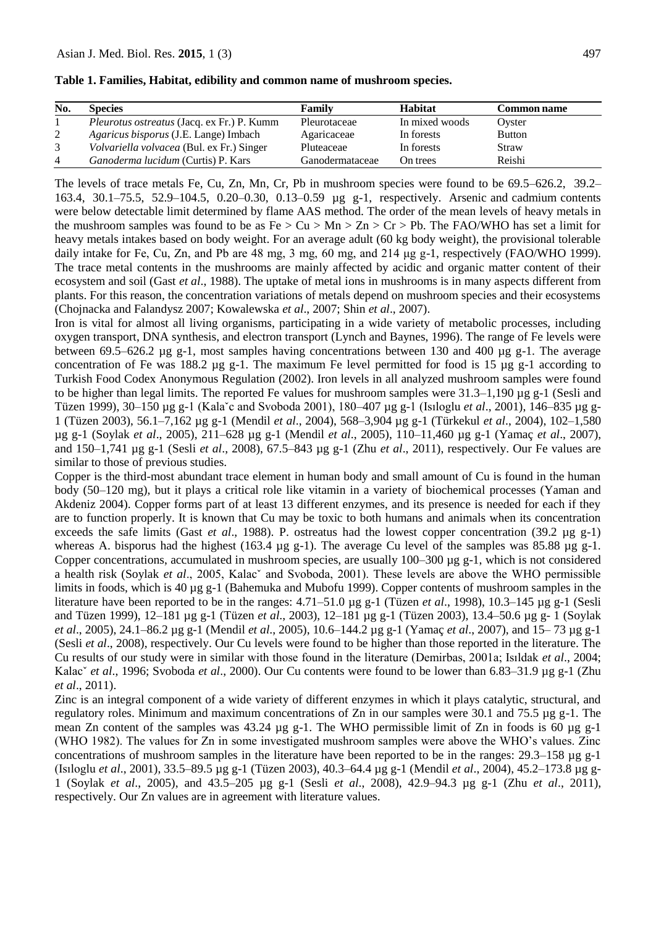| Table 1. Families, Habitat, edibility and common name of mushroom species. |  |  |  |  |  |  |  |  |  |  |
|----------------------------------------------------------------------------|--|--|--|--|--|--|--|--|--|--|
|----------------------------------------------------------------------------|--|--|--|--|--|--|--|--|--|--|

| No. | <b>Species</b>                                    | Family          | <b>Habitat</b> | <b>Common name</b> |
|-----|---------------------------------------------------|-----------------|----------------|--------------------|
|     | <i>Pleurotus ostreatus</i> (Jacq. ex Fr.) P. Kumm | Pleurotaceae    | In mixed woods | Ovster             |
| 2   | <i>Agaricus bisporus</i> (J.E. Lange) Imbach      | Agaricaceae     | In forests     | <b>Button</b>      |
|     | Volvariella volvacea (Bul. ex Fr.) Singer         | Pluteaceae      | In forests     | Straw              |
| 4   | Ganoderma lucidum (Curtis) P. Kars                | Ganodermataceae | On trees       | Reishi             |

The levels of trace metals Fe, Cu, Zn, Mn, Cr, Pb in mushroom species were found to be 69.5–626.2, 39.2– 163.4, 30.1–75.5, 52.9–104.5, 0.20–0.30, 0.13–0.59 µg g-1, respectively. Arsenic and cadmium contents were below detectable limit determined by flame AAS method. The order of the mean levels of heavy metals in the mushroom samples was found to be as  $Fe > Cu > Mn > Zn > Cr > Pb$ . The FAO/WHO has set a limit for heavy metals intakes based on body weight. For an average adult (60 kg body weight), the provisional tolerable daily intake for Fe, Cu, Zn, and Pb are 48 mg, 3 mg, 60 mg, and 214 μg g-1, respectively (FAO/WHO 1999). The trace metal contents in the mushrooms are mainly affected by acidic and organic matter content of their ecosystem and soil (Gast *et al*., 1988). The uptake of metal ions in mushrooms is in many aspects different from plants. For this reason, the concentration variations of metals depend on mushroom species and their ecosystems (Chojnacka and Falandysz 2007; Kowalewska *et al*., 2007; Shin *et al*., 2007).

Iron is vital for almost all living organisms, participating in a wide variety of metabolic processes, including oxygen transport, DNA synthesis, and electron transport (Lynch and Baynes, 1996). The range of Fe levels were between 69.5–626.2 µg g-1, most samples having concentrations between 130 and 400 µg g-1. The average concentration of Fe was 188.2  $\mu$ g g-1. The maximum Fe level permitted for food is 15  $\mu$ g g-1 according to Turkish Food Codex Anonymous Regulation (2002). Iron levels in all analyzed mushroom samples were found to be higher than legal limits. The reported Fe values for mushroom samples were 31.3–1,190 µg g-1 (Sesli and Tüzen 1999), 30–150 µg g-1 (Kalaˇc and Svoboda 2001), 180–407 µg g-1 (Isıloglu *et al*., 2001), 146–835 µg g-1 (Tüzen 2003), 56.1–7,162 µg g-1 (Mendil *et al*., 2004), 568–3,904 µg g-1 (Türkekul *et al*., 2004), 102–1,580 µg g-1 (Soylak *et al*., 2005), 211–628 µg g-1 (Mendil *et al*., 2005), 110–11,460 µg g-1 (Yamaç *et al*., 2007), and 150–1,741 µg g-1 (Sesli *et al*., 2008), 67.5–843 µg g-1 (Zhu *et al*., 2011), respectively. Our Fe values are similar to those of previous studies.

Copper is the third-most abundant trace element in human body and small amount of Cu is found in the human body (50–120 mg), but it plays a critical role like vitamin in a variety of biochemical processes (Yaman and Akdeniz 2004). Copper forms part of at least 13 different enzymes, and its presence is needed for each if they are to function properly. It is known that Cu may be toxic to both humans and animals when its concentration exceeds the safe limits (Gast *et al*., 1988). P. ostreatus had the lowest copper concentration (39.2 µg g-1) whereas A. bisporus had the highest (163.4  $\mu$ g g-1). The average Cu level of the samples was 85.88  $\mu$ g g-1. Copper concentrations, accumulated in mushroom species, are usually  $100-300 \mu g g -1$ , which is not considered a health risk (Soylak *et al*., 2005, Kalacˇ and Svoboda, 2001). These levels are above the WHO permissible limits in foods, which is 40 µg g-1 (Bahemuka and Mubofu 1999). Copper contents of mushroom samples in the literature have been reported to be in the ranges: 4.71–51.0 µg g-1 (Tüzen *et al*., 1998), 10.3–145 µg g-1 (Sesli and Tüzen 1999), 12–181 µg g-1 (Tüzen *et al*., 2003), 12–181 µg g-1 (Tüzen 2003), 13.4–50.6 µg g- 1 (Soylak *et al*., 2005), 24.1–86.2 µg g-1 (Mendil *et al*., 2005), 10.6–144.2 µg g-1 (Yamaç *et al*., 2007), and 15– 73 µg g-1 (Sesli *et al*., 2008), respectively. Our Cu levels were found to be higher than those reported in the literature. The Cu results of our study were in similar with those found in the literature (Demirbas, 2001a; Isıldak *et al*., 2004; Kalacˇ *et al*., 1996; Svoboda *et al*., 2000). Our Cu contents were found to be lower than 6.83–31.9 µg g-1 (Zhu *et al*., 2011).

Zinc is an integral component of a wide variety of different enzymes in which it plays catalytic, structural, and regulatory roles. Minimum and maximum concentrations of Zn in our samples were 30.1 and 75.5 µg g-1. The mean Zn content of the samples was 43.24 µg g-1. The WHO permissible limit of Zn in foods is 60 µg g-1 (WHO 1982). The values for Zn in some investigated mushroom samples were above the WHO's values. Zinc concentrations of mushroom samples in the literature have been reported to be in the ranges:  $29.3-158 \mu g g-1$ (Isıloglu *et al*., 2001), 33.5–89.5 µg g-1 (Tüzen 2003), 40.3–64.4 µg g-1 (Mendil *et al*., 2004), 45.2–173.8 µg g-1 (Soylak *et al*., 2005), and 43.5–205 µg g-1 (Sesli *et al*., 2008), 42.9–94.3 µg g-1 (Zhu *et al*., 2011), respectively. Our Zn values are in agreement with literature values.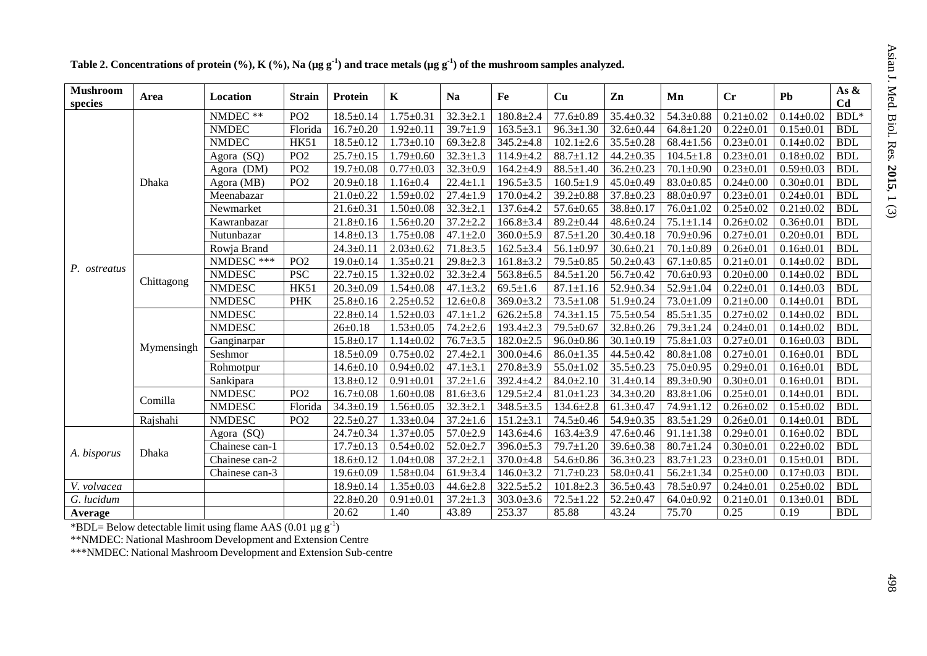| <b>Mushroom</b><br>species | Area       | Location       | <b>Strain</b>   | Protein         | $\mathbf K$     | <b>Na</b>      | Fe              | Cu              | Zn              | Mn              | Cr              | P <sub>b</sub>  | As &<br>C <sub>d</sub> |
|----------------------------|------------|----------------|-----------------|-----------------|-----------------|----------------|-----------------|-----------------|-----------------|-----------------|-----------------|-----------------|------------------------|
|                            |            | NMDEC **       | PO <sub>2</sub> | $18.5 \pm 0.14$ | $1.75 \pm 0.31$ | $32.3 \pm 2.1$ | $180.8 \pm 2.4$ | $77.6 \pm 0.89$ | $35.4 \pm 0.32$ | $54.3 \pm 0.88$ | $0.21 \pm 0.02$ | $0.14 \pm 0.02$ | $BDL^*$                |
|                            |            | <b>NMDEC</b>   | Florida         | $16.7 \pm 0.20$ | $1.92 \pm 0.11$ | $39.7 \pm 1.9$ | $163.5 \pm 3.1$ | $96.3 \pm 1.30$ | $32.6 \pm 0.44$ | $64.8 \pm 1.20$ | $0.22 \pm 0.01$ | $0.15 \pm 0.01$ | <b>BDL</b>             |
|                            |            | <b>NMDEC</b>   | <b>HK51</b>     | $18.5 \pm 0.12$ | $1.73 \pm 0.10$ | $69.3 \pm 2.8$ | $345.2 \pm 4.8$ | $102.1 \pm 2.6$ | $35.5 \pm 0.28$ | $68.4 \pm 1.56$ | $0.23 \pm 0.01$ | $0.14 \pm 0.02$ | <b>BDL</b>             |
|                            |            | Agora (SQ)     | PO <sub>2</sub> | $25.7 \pm 0.15$ | $1.79 \pm 0.60$ | $32.3 \pm 1.3$ | $114.9 + 4.2$   | $88.7 \pm 1.12$ | $44.2 \pm 0.35$ | $104.5 \pm 1.8$ | $0.23 \pm 0.01$ | $0.18 \pm 0.02$ | <b>BDL</b>             |
|                            |            | Agora (DM)     | PO <sub>2</sub> | $19.7 \pm 0.08$ | $0.77 \pm 0.03$ | $32.3 \pm 0.9$ | $164.2{\pm}4.9$ | $88.5 \pm 1.40$ | $36.2 \pm 0.23$ | $70.1 \pm 0.90$ | $0.23 \pm 0.01$ | $0.59 \pm 0.03$ | <b>BDL</b>             |
|                            | Dhaka      | Agora (MB)     | PO <sub>2</sub> | $20.9 \pm 0.18$ | $1.16 \pm 0.4$  | $22.4 \pm 1.1$ | $196.5 \pm 3.5$ | $160.5 \pm 1.9$ | $45.0 \pm 0.49$ | $83.0 \pm 0.85$ | $0.24 \pm 0.00$ | $0.30 \pm 0.01$ | <b>BDL</b>             |
|                            |            | Meenabazar     |                 | $21.0 \pm 0.22$ | $1.59 \pm 0.02$ | $27.4 \pm 1.9$ | $170.0 + 4.2$   | $39.2 \pm 0.88$ | $37.8 \pm 0.23$ | $88.0 \pm 0.97$ | $0.23 \pm 0.01$ | $0.24 \pm 0.01$ | <b>BDL</b>             |
|                            |            | Newmarket      |                 | $21.6 \pm 0.31$ | $1.50 \pm 0.08$ | $32.3 \pm 2.1$ | $137.6 \pm 4.2$ | $57.6 \pm 0.65$ | $38.8 \pm 0.17$ | $76.0 \pm 1.02$ | $0.25 \pm 0.02$ | $0.21 \pm 0.02$ | <b>BDL</b>             |
|                            |            | Kawranbazar    |                 | $21.8 \pm 0.16$ | $1.56 \pm 0.20$ | $37.2 \pm 2.2$ | $166.8 \pm 3.4$ | $89.2 \pm 0.44$ | $48.6 \pm 0.24$ | $75.1 \pm 1.14$ | $0.26 \pm 0.02$ | $0.36 \pm 0.01$ | <b>BDL</b>             |
|                            |            | Nutunbazar     |                 | $14.8 \pm 0.13$ | $1.75 \pm 0.08$ | $47.1 \pm 2.0$ | $360.0 \pm 5.9$ | $87.5 \pm 1.20$ | $30.4 \pm 0.18$ | $70.9 \pm 0.96$ | $0.27 \pm 0.01$ | $0.20 \pm 0.01$ | <b>BDL</b>             |
|                            |            | Rowja Brand    |                 | $24.3 \pm 0.11$ | $2.03 \pm 0.62$ | $71.8 \pm 3.5$ | $162.5 \pm 3.4$ | $56.1 \pm 0.97$ | $30.6 \pm 0.21$ | $70.1 \pm 0.89$ | $0.26 \pm 0.01$ | $0.16 \pm 0.01$ | <b>BDL</b>             |
|                            | Chittagong | NMDESC ***     | PO <sub>2</sub> | $19.0 \pm 0.14$ | $1.35 \pm 0.21$ | $29.8 \pm 2.3$ | $161.8 \pm 3.2$ | 79.5±0.85       | $50.2 \pm 0.43$ | $67.1 \pm 0.85$ | $0.21 \pm 0.01$ | $0.14 \pm 0.02$ | <b>BDL</b>             |
| P. ostreatus               |            | <b>NMDESC</b>  | <b>PSC</b>      | $22.7 \pm 0.15$ | $1.32 \pm 0.02$ | $32.3 \pm 2.4$ | $563.8 \pm 6.5$ | $84.5 \pm 1.20$ | $56.7 \pm 0.42$ | $70.6 \pm 0.93$ | $0.20 \pm 0.00$ | $0.14 \pm 0.02$ | <b>BDL</b>             |
|                            |            | <b>NMDESC</b>  | <b>HK51</b>     | $20.3 \pm 0.09$ | $1.54 \pm 0.08$ | $47.1 \pm 3.2$ | $69.5 \pm 1.6$  | $87.1 \pm 1.16$ | 52.9±0.34       | $52.9 \pm 1.04$ | $0.22 \pm 0.01$ | $0.14 \pm 0.03$ | <b>BDL</b>             |
|                            |            | <b>NMDESC</b>  | <b>PHK</b>      | $25.8 \pm 0.16$ | $2.25 \pm 0.52$ | $12.6 \pm 0.8$ | $369.0 \pm 3.2$ | $73.5 \pm 1.08$ | $51.9 \pm 0.24$ | $73.0 \pm 1.09$ | $0.21 \pm 0.00$ | $0.14 \pm 0.01$ | <b>BDL</b>             |
|                            | Mymensingh | <b>NMDESC</b>  |                 | $22.8 \pm 0.14$ | $1.52 \pm 0.03$ | $47.1 \pm 1.2$ | $626.2{\pm}5.8$ | $74.3 \pm 1.15$ | $75.5 \pm 0.54$ | $85.5 \pm 1.35$ | $0.27 \pm 0.02$ | $0.14 \pm 0.02$ | <b>BDL</b>             |
|                            |            | <b>NMDESC</b>  |                 | $26 \pm 0.18$   | $1.53 \pm 0.05$ | $74.2 \pm 2.6$ | $193.4 \pm 2.3$ | 79.5±0.67       | $32.8 \pm 0.26$ | $79.3 \pm 1.24$ | $0.24 \pm 0.01$ | $0.14 \pm 0.02$ | <b>BDL</b>             |
|                            |            | Ganginarpar    |                 | $15.8 \pm 0.17$ | $1.14 \pm 0.02$ | $76.7 + 3.5$   | $182.0 \pm 2.5$ | $96.0 \pm 0.86$ | $30.1 \pm 0.19$ | $75.8 \pm 1.03$ | $0.27 \pm 0.01$ | $0.16 \pm 0.03$ | <b>BDL</b>             |
|                            |            | Seshmor        |                 | $18.5 \pm 0.09$ | $0.75 \pm 0.02$ | $27.4 \pm 2.1$ | $300.0 + 4.6$   | $86.0 \pm 1.35$ | $44.5 \pm 0.42$ | $80.8 \pm 1.08$ | $0.27 \pm 0.01$ | $0.16 \pm 0.01$ | <b>BDL</b>             |
|                            |            | Rohmotpur      |                 | $14.6 \pm 0.10$ | $0.94 \pm 0.02$ | $47.1 \pm 3.1$ | $270.8 \pm 3.9$ | $55.0 \pm 1.02$ | $35.5 \pm 0.23$ | $75.0 \pm 0.95$ | $0.29 \pm 0.01$ | $0.16 \pm 0.01$ | <b>BDL</b>             |
|                            |            | Sankipara      |                 | $13.8 \pm 0.12$ | $0.91 \pm 0.01$ | $37.2 \pm 1.6$ | $392.4 \pm 4.2$ | $84.0 \pm 2.10$ | $31.4 \pm 0.14$ | $89.3 \pm 0.90$ | $0.30 \pm 0.01$ | $0.16 \pm 0.01$ | <b>BDL</b>             |
|                            | Comilla    | <b>NMDESC</b>  | PO <sub>2</sub> | $16.7 \pm 0.08$ | $1.60 \pm 0.08$ | $81.6 \pm 3.6$ | $129.5 \pm 2.4$ | $81.0 \pm 1.23$ | $34.3 \pm 0.20$ | $83.8 \pm 1.06$ | $0.25 \pm 0.01$ | $0.14 \pm 0.01$ | <b>BDL</b>             |
|                            |            | <b>NMDESC</b>  | Florida         | $34.3 \pm 0.19$ | $1.56 \pm 0.05$ | $32.3 \pm 2.1$ | $348.5 \pm 3.5$ | $134.6 \pm 2.8$ | $61.3 \pm 0.47$ | 74.9±1.12       | $0.26 \pm 0.02$ | $0.15 \pm 0.02$ | <b>BDL</b>             |
|                            | Rajshahi   | <b>NMDESC</b>  | PO <sub>2</sub> | $22.5 \pm 0.27$ | $1.33 \pm 0.04$ | $37.2 \pm 1.6$ | $151.2 \pm 3.1$ | $74.5 \pm 0.46$ | $54.9 \pm 0.35$ | $83.5 \pm 1.29$ | $0.26 \pm 0.01$ | $0.14 \pm 0.01$ | <b>BDL</b>             |
| A. bisporus                |            | Agora (SQ)     |                 | $24.7 \pm 0.34$ | $1.37 \pm 0.05$ | $57.0 \pm 2.9$ | $143.6 \pm 4.6$ | $163.4 \pm 3.9$ | $47.6 \pm 0.46$ | $91.1 \pm 1.38$ | $0.29 \pm 0.01$ | $0.16 \pm 0.02$ | <b>BDL</b>             |
|                            | Dhaka      | Chainese can-1 |                 | $17.7 \pm 0.13$ | $0.54 \pm 0.02$ | $52.0 \pm 2.7$ | $396.0 \pm 5.3$ | $79.7 \pm 1.20$ | $39.6 \pm 0.38$ | $80.7 \pm 1.24$ | $0.30 \pm 0.01$ | $0.22 \pm 0.02$ | <b>BDL</b>             |
|                            |            | Chainese can-2 |                 | $18.6 \pm 0.12$ | $1.04 \pm 0.08$ | $37.2 \pm 2.1$ | $370.0 + 4.8$   | $54.6 \pm 0.86$ | $36.3 \pm 0.23$ | $83.7 \pm 1.23$ | $0.23 \pm 0.01$ | $0.15 \pm 0.01$ | <b>BDL</b>             |
|                            |            | Chainese can-3 |                 | $19.6 \pm 0.09$ | $1.58 \pm 0.04$ | $61.9 \pm 3.4$ | $146.0 \pm 3.2$ | $71.7 \pm 0.23$ | $58.0 \pm 0.41$ | $56.2 \pm 1.34$ | $0.25 \pm 0.00$ | $0.17 \pm 0.03$ | <b>BDL</b>             |
| V. volvacea                |            |                |                 | $18.9 \pm 0.14$ | $1.35 \pm 0.03$ | $44.6 \pm 2.8$ | $322.5 + 5.2$   | $101.8 \pm 2.3$ | $36.5 \pm 0.43$ | 78.5±0.97       | $0.24 \pm 0.01$ | $0.25 \pm 0.02$ | <b>BDL</b>             |
| G. lucidum                 |            |                |                 | $22.8 \pm 0.20$ | $0.91 \pm 0.01$ | $37.2 \pm 1.3$ | $303.0 \pm 3.6$ | $72.5 \pm 1.22$ | $52.2 \pm 0.47$ | $64.0 \pm 0.92$ | $0.21 \pm 0.01$ | $0.13 \pm 0.01$ | <b>BDL</b>             |
| Average                    |            |                |                 | 20.62           | 1.40            | 43.89          | 253.37          | 85.88           | 43.24           | 75.70           | 0.25            | 0.19            | <b>BDL</b>             |

Table 2. Concentrations of protein (%), K (%), Na (µg g<sup>-1</sup>) and trace metals (µg g<sup>-1</sup>) of the mushroom samples analyzed.

\*BDL= Below detectable limit using flame AAS (0.01  $\mu$ g g<sup>-1</sup>)

\*\*NMDEC: National Mashroom Development and Extension Centre

\*\*\*NMDEC: National Mashroom Development and Extension Sub-centre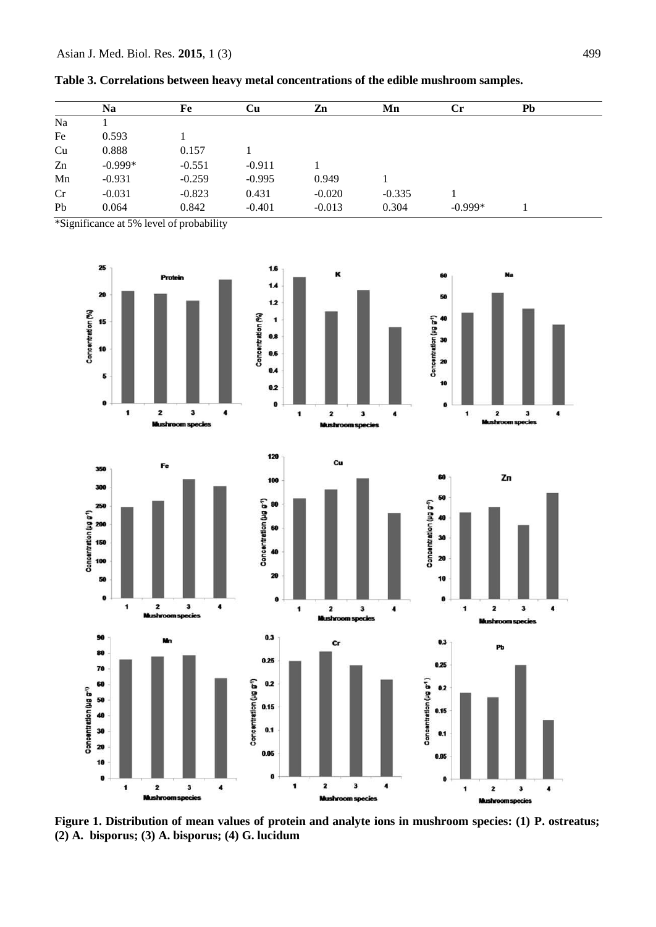|    | <b>Na</b> | Fe       | Cu       | Zn       | Mn       | $\mathbf{C}$ r | Pb |  |
|----|-----------|----------|----------|----------|----------|----------------|----|--|
| Na |           |          |          |          |          |                |    |  |
| Fe | 0.593     |          |          |          |          |                |    |  |
| Cu | 0.888     | 0.157    |          |          |          |                |    |  |
| Zn | $-0.999*$ | $-0.551$ | $-0.911$ |          |          |                |    |  |
| Mn | $-0.931$  | $-0.259$ | $-0.995$ | 0.949    |          |                |    |  |
| Cr | $-0.031$  | $-0.823$ | 0.431    | $-0.020$ | $-0.335$ |                |    |  |
| Pb | 0.064     | 0.842    | $-0.401$ | $-0.013$ | 0.304    | $-0.999*$      |    |  |

|  |  | Table 3. Correlations between heavy metal concentrations of the edible mushroom samples. |  |  |
|--|--|------------------------------------------------------------------------------------------|--|--|
|  |  |                                                                                          |  |  |

\*Significance at 5% level of probability



**Figure 1. Distribution of mean values of protein and analyte ions in mushroom species: (1) P. ostreatus; (2) A. bisporus; (3) A. bisporus; (4) G. lucidum**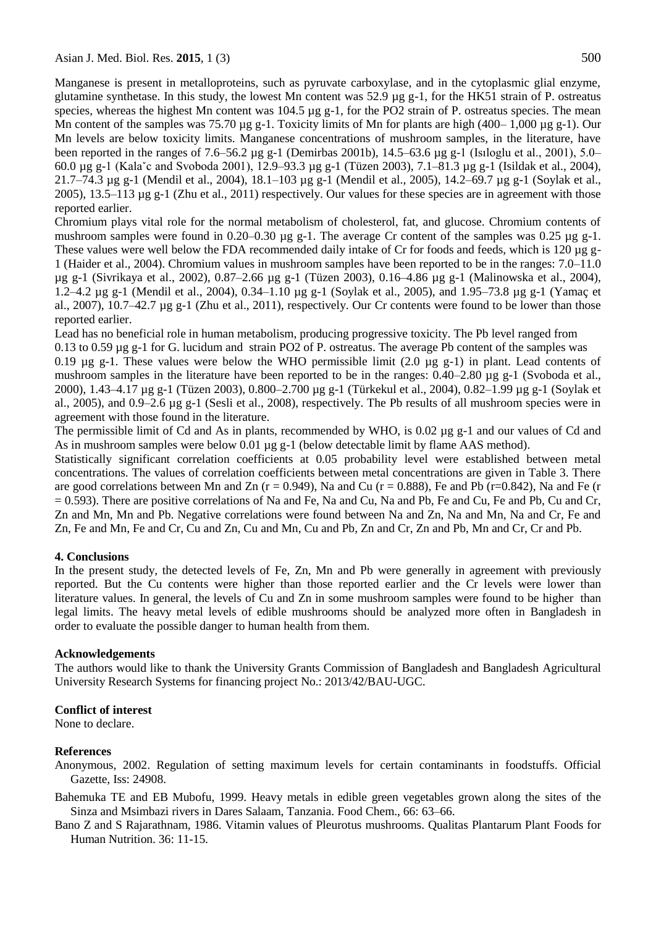Manganese is present in metalloproteins, such as pyruvate carboxylase, and in the cytoplasmic glial enzyme, glutamine synthetase. In this study, the lowest Mn content was 52.9 µg g-1, for the HK51 strain of P. ostreatus species, whereas the highest Mn content was  $104.5 \mu g g$ -1, for the PO2 strain of P. ostreatus species. The mean Mn content of the samples was 75.70 µg g-1. Toxicity limits of Mn for plants are high (400– 1,000 µg g-1). Our Mn levels are below toxicity limits. Manganese concentrations of mushroom samples, in the literature, have been reported in the ranges of 7.6–56.2 µg g-1 (Demirbas 2001b), 14.5–63.6 µg g-1 (Isıloglu et al., 2001), 5.0– 60.0 µg g-1 (Kalaˇc and Svoboda 2001), 12.9–93.3 µg g-1 (Tüzen 2003), 7.1–81.3 µg g-1 (Isildak et al., 2004), 21.7–74.3 µg g-1 (Mendil et al., 2004), 18.1–103 µg g-1 (Mendil et al., 2005), 14.2–69.7 µg g-1 (Soylak et al., 2005), 13.5–113 µg g-1 (Zhu et al., 2011) respectively. Our values for these species are in agreement with those reported earlier.

Chromium plays vital role for the normal metabolism of cholesterol, fat, and glucose. Chromium contents of mushroom samples were found in 0.20–0.30  $\mu$ g g-1. The average Cr content of the samples was 0.25  $\mu$ g g-1. These values were well below the FDA recommended daily intake of Cr for foods and feeds, which is 120 µg g-1 (Haider et al., 2004). Chromium values in mushroom samples have been reported to be in the ranges: 7.0–11.0 µg g-1 (Sivrikaya et al., 2002), 0.87–2.66 µg g-1 (Tüzen 2003), 0.16–4.86 µg g-1 (Malinowska et al., 2004), 1.2–4.2 µg g-1 (Mendil et al., 2004), 0.34–1.10 µg g-1 (Soylak et al., 2005), and 1.95–73.8 µg g-1 (Yamaç et al., 2007),  $10.7-42.7 \mu g g-1$  (Zhu et al., 2011), respectively. Our Cr contents were found to be lower than those reported earlier.

Lead has no beneficial role in human metabolism, producing progressive toxicity. The Pb level ranged from

0.13 to 0.59 µg g-1 for G. lucidum and strain PO2 of P. ostreatus. The average Pb content of the samples was 0.19  $\mu$ g g-1. These values were below the WHO permissible limit (2.0  $\mu$ g g-1) in plant. Lead contents of mushroom samples in the literature have been reported to be in the ranges: 0.40–2.80 µg g-1 (Svoboda et al., 2000), 1.43–4.17 µg g-1 (Tüzen 2003), 0.800–2.700 µg g-1 (Türkekul et al., 2004), 0.82–1.99 µg g-1 (Soylak et al., 2005), and 0.9–2.6 µg g-1 (Sesli et al., 2008), respectively. The Pb results of all mushroom species were in agreement with those found in the literature.

The permissible limit of Cd and As in plants, recommended by WHO, is 0.02 µg g-1 and our values of Cd and As in mushroom samples were below 0.01 µg g-1 (below detectable limit by flame AAS method).

Statistically significant correlation coefficients at 0.05 probability level were established between metal concentrations. The values of correlation coefficients between metal concentrations are given in Table 3. There are good correlations between Mn and Zn ( $r = 0.949$ ), Na and Cu ( $r = 0.888$ ), Fe and Pb ( $r = 0.842$ ), Na and Fe ( $r = 0.949$ )  $= 0.593$ ). There are positive correlations of Na and Fe, Na and Cu, Na and Pb, Fe and Cu, Fe and Pb, Cu and Cr, Zn and Mn, Mn and Pb. Negative correlations were found between Na and Zn, Na and Mn, Na and Cr, Fe and Zn, Fe and Mn, Fe and Cr, Cu and Zn, Cu and Mn, Cu and Pb, Zn and Cr, Zn and Pb, Mn and Cr, Cr and Pb.

## **4. Conclusions**

In the present study, the detected levels of Fe, Zn, Mn and Pb were generally in agreement with previously reported. But the Cu contents were higher than those reported earlier and the Cr levels were lower than literature values. In general, the levels of Cu and Zn in some mushroom samples were found to be higher than legal limits. The heavy metal levels of edible mushrooms should be analyzed more often in Bangladesh in order to evaluate the possible danger to human health from them.

#### **Acknowledgements**

The authors would like to thank the University Grants Commission of Bangladesh and Bangladesh Agricultural University Research Systems for financing project No.: 2013/42/BAU-UGC.

## **Conflict of interest**

None to declare.

## **References**

- Anonymous, 2002. Regulation of setting maximum levels for certain contaminants in foodstuffs. Official Gazette, Iss: 24908.
- Bahemuka TE and EB Mubofu, 1999. Heavy metals in edible green vegetables grown along the sites of the Sinza and Msimbazi rivers in Dares Salaam, Tanzania. Food Chem., 66: 63–66.
- Bano Z and S Rajarathnam, 1986. Vitamin values of Pleurotus mushrooms. Qualitas Plantarum Plant Foods for Human Nutrition. 36: 11-15.